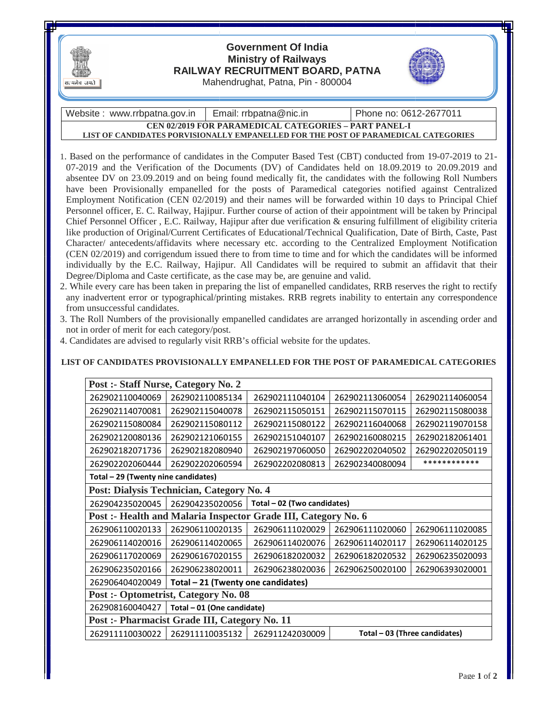

## **RAILWAY RECRUITMENT BOARD BOARD, PATNA**  Mahendrughat, Patna, Pin - 800004 **Government Of India Ministry of Railways**



Website : www.rrbpatna.gov.in **CEN 02/2019 FOR PARAMEDICAL CATEGORIES – PART PANEL-I LIST OF CANDIDATES PORVISIONALLY EMPANELLED FOR THE POST OF PARAMEDICAL CATEGORIES** Email: rrbpatna@nic.in Phone no: 0612-2677011

- 1. Based on the performance of candidates in the Computer Based Test (CBT) conducted from 19-07-2019 to 21-Based on the performance of candidates in the Computer Based Test (CBT) conducted from 19-07-2019 to 21-07-2019 and the Verification of the Documents (DV) of Candidates held on 18.09.2019 to 20.09.2019 and absentee DV on 23.09.2019 and on being found medically fit, the candidates with the following Roll Numbers have been Provisionally empanelled for the posts of Paramedical categories notified against Centralized absentee DV on 23.09.2019 and on being found medically fit, the candidates with the following Roll Numbers<br>have been Provisionally empanelled for the posts of Paramedical categories notified against Centralized<br>Employment Personnel officer, E. C. Railway, Hajipur. Further course of action of their appointment will be taken by Principal Chief Personnel Officer , E.C. Railway, Hajipur after due verification & ensuring fulfillment of eligibility criteria like production of Original/Current Certificates of Educational/Technical Qualification, Date of Birth, Caste, Past Character/ antecedents/affidavits where necessary etc. according to the Centralized Employment Notification (CEN 02/2019) and corrigendum issued there to from time to time and for which the candidates will be informed individually by the E.C. Railway, Hajipur. All Candidates will be required to submit an affidavit that their Degree/Diploma and Caste certificate, as the case may be, are genuine and valid. , E. C. Railway, Hajipur. Further course of action of their appointment will be taken by Principal<br>Officer , E.C. Railway, Hajipur after due verification & ensuring fulfillment of eligibility criteria<br>f Original/Current Ce Personnel officer, E. C. Railway, Hajipur. Further course of action of their appointment will te Chief Personnel Officer , E.C. Railway, Hajipur after due verification & ensuring fulfillment like production of Original/Cur
- 2. While every care has been taken in preparing the list of empanelled candidates, RRB reserves the right to rectify any inadvertent error or typographical/printing mistakes. RRB regrets inability to entertain any correspondence from unsuccessful candidates. Degree/Diploma and Caste certificate, as the case may be, are genuine and valid.<br>
While every care has been taken in preparing the list of empanelled candidates, RRB reserves the right<br>
any inadvertent error or typographic
- 3. The Roll Numbers of the provisionally empanelled candidates are arranged horizontally in ascending order and not in order of merit for each category/post.
- 4. Candidates are advised to regularly visit RRB's official website for the updates.

## LIST OF CANDIDATES PROVISIONALLY EMPANELLED FOR THE POST OF PARAMEDICAL CATEGORIES

| Post :- Staff Nurse, Category No. 2                            |                                    |                             |                               |                 |
|----------------------------------------------------------------|------------------------------------|-----------------------------|-------------------------------|-----------------|
| 262902110040069                                                | 262902110085134                    | 262902111040104             | 262902113060054               | 262902114060054 |
| 262902114070081                                                | 262902115040078                    | 262902115050151             | 262902115070115               | 262902115080038 |
| 262902115080084                                                | 262902115080112                    | 262902115080122             | 262902116040068               | 262902119070158 |
| 262902120080136                                                | 262902121060155                    | 262902151040107             | 262902160080215               | 262902182061401 |
| 262902182071736                                                | 262902182080940                    | 262902197060050             | 262902202040502               | 262902202050119 |
| 262902202060444                                                | 262902202060594                    | 262902202080813             | 262902340080094               | ************    |
| Total - 29 (Twenty nine candidates)                            |                                    |                             |                               |                 |
| Post: Dialysis Technician, Category No. 4                      |                                    |                             |                               |                 |
| 262904235020045                                                | 262904235020056                    | Total - 02 (Two candidates) |                               |                 |
| Post :- Health and Malaria Inspector Grade III, Category No. 6 |                                    |                             |                               |                 |
| 262906110020133                                                | 262906110020135                    | 262906111020029             | 262906111020060               | 262906111020085 |
| 262906114020016                                                | 262906114020065                    | 262906114020076             | 262906114020117               | 262906114020125 |
| 262906117020069                                                | 262906167020155                    | 262906182020032             | 262906182020532               | 262906235020093 |
| 262906235020166                                                | 262906238020011                    | 262906238020036             | 262906250020100               | 262906393020001 |
| 262906404020049                                                | Total - 21 (Twenty one candidates) |                             |                               |                 |
| <b>Post :- Optometrist, Category No. 08</b>                    |                                    |                             |                               |                 |
| 262908160040427                                                | Total - 01 (One candidate)         |                             |                               |                 |
| Post :- Pharmacist Grade III, Category No. 11                  |                                    |                             |                               |                 |
| 262911110030022                                                | 262911110035132                    | 262911242030009             | Total - 03 (Three candidates) |                 |